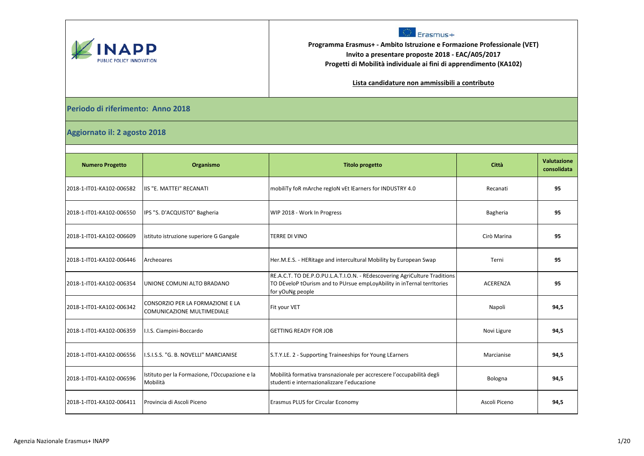

## Erasmus+

**Programma Erasmus+ - Ambito Istruzione e Formazione Professionale (VET) Invito a presentare proposte 2018 - EAC/A05/2017 Progetti di Mobilità individuale ai fini di apprendimento (KA102)**

**Lista candidature non ammissibili a contributo**

## **Periodo di riferimento: Anno 2018**

## **Aggiornato il: 2 agosto 2018**

| <b>Numero Progetto</b>   | Organismo                                                      | <b>Titolo progetto</b>                                                                                                                                                   | Città           | Valutazione<br>consolidata |
|--------------------------|----------------------------------------------------------------|--------------------------------------------------------------------------------------------------------------------------------------------------------------------------|-----------------|----------------------------|
| 2018-1-IT01-KA102-006582 | IIIS "E. MATTEI" RECANATI                                      | mobiliTy foR mArche regIoN vEt lEarners for INDUSTRY 4.0                                                                                                                 | Recanati        | 95                         |
| 2018-1-IT01-KA102-006550 | IPS "S. D'ACQUISTO" Bagheria                                   | WIP 2018 - Work In Progress                                                                                                                                              | Bagheria        | 95                         |
| 2018-1-IT01-KA102-006609 | istituto istruzione superiore G Gangale                        | TERRE DI VINO                                                                                                                                                            | Cirò Marina     | 95                         |
| 2018-1-IT01-KA102-006446 | Archeoares                                                     | Her.M.E.S. - HERitage and intercultural Mobility by European Swap                                                                                                        | Terni           | 95                         |
| 2018-1-IT01-KA102-006354 | UNIONE COMUNI ALTO BRADANO                                     | RE.A.C.T. TO DE.P.O.PU.L.A.T.I.O.N. - REdescovering AgriCulture Traditions<br>TO DEveloP tOurism and to PUrsue empLoyAbility in inTernal terrItories<br>for yOuNg people | <b>ACERENZA</b> | 95                         |
| 2018-1-IT01-KA102-006342 | CONSORZIO PER LA FORMAZIONE E LA<br>COMUNICAZIONE MULTIMEDIALE | Fit your VET                                                                                                                                                             | Napoli          | 94,5                       |
| 2018-1-IT01-KA102-006359 | I.I.S. Ciampini-Boccardo                                       | <b>GETTING READY FOR JOB</b>                                                                                                                                             | Novi Ligure     | 94,5                       |
| 2018-1-IT01-KA102-006556 | I.S.I.S.S. "G. B. NOVELLI" MARCIANISE                          | S.T.Y.LE. 2 - Supporting Traineeships for Young LEarners                                                                                                                 | Marcianise      | 94,5                       |
| 2018-1-IT01-KA102-006596 | Istituto per la Formazione, l'Occupazione e la<br>Mobilità     | Mobilità formativa transnazionale per accrescere l'occupabilità degli<br>studenti e internazionalizzare l'educazione                                                     | Bologna         | 94,5                       |
| 2018-1-IT01-KA102-006411 | Provincia di Ascoli Piceno                                     | <b>Erasmus PLUS for Circular Economy</b>                                                                                                                                 | Ascoli Piceno   | 94,5                       |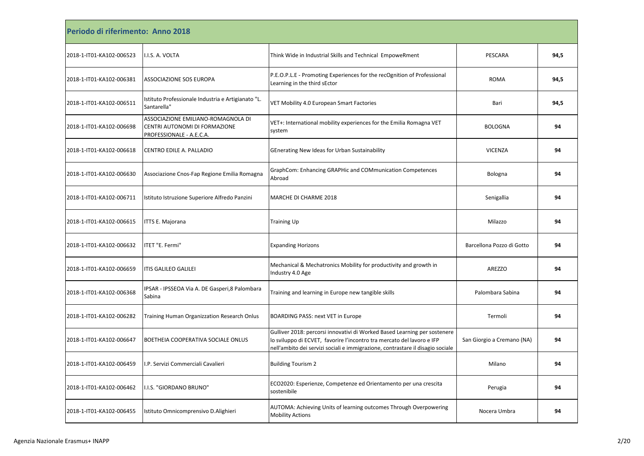| Periodo di riferimento: Anno 2018 |                                                                                                 |                                                                                                                                                                                                                                       |                            |      |
|-----------------------------------|-------------------------------------------------------------------------------------------------|---------------------------------------------------------------------------------------------------------------------------------------------------------------------------------------------------------------------------------------|----------------------------|------|
| 2018-1-IT01-KA102-006523          | I.I.S. A. VOLTA                                                                                 | Think Wide in Industrial Skills and Technical EmpoweRment                                                                                                                                                                             | PESCARA                    | 94,5 |
| 2018-1-IT01-KA102-006381          | <b>ASSOCIAZIONE SOS EUROPA</b>                                                                  | P.E.O.P.L.E - Promoting Experiences for the recOgnition of Professional<br>Learning in the third sEctor                                                                                                                               | <b>ROMA</b>                | 94,5 |
| 2018-1-IT01-KA102-006511          | Istituto Professionale Industria e Artigianato "L.<br>Santarella"                               | VET Mobility 4.0 European Smart Factories                                                                                                                                                                                             | Bari                       | 94,5 |
| 2018-1-IT01-KA102-006698          | ASSOCIAZIONE EMILIANO-ROMAGNOLA DI<br>CENTRI AUTONOMI DI FORMAZIONE<br>PROFESSIONALE - A.E.C.A. | VET+: International mobility experiences for the Emilia Romagna VET<br>system                                                                                                                                                         | <b>BOLOGNA</b>             | 94   |
| 2018-1-IT01-KA102-006618          | CENTRO EDILE A. PALLADIO                                                                        | GEnerating New Ideas for Urban Sustainability                                                                                                                                                                                         | <b>VICENZA</b>             | 94   |
| 2018-1-IT01-KA102-006630          | Associazione Cnos-Fap Regione Emilia Romagna                                                    | GraphCom: Enhancing GRAPHic and COMmunication Competences<br>Abroad                                                                                                                                                                   | Bologna                    | 94   |
| 2018-1-IT01-KA102-006711          | Istituto Istruzione Superiore Alfredo Panzini                                                   | MARCHE DI CHARME 2018                                                                                                                                                                                                                 | Senigallia                 | 94   |
| 2018-1-IT01-KA102-006615          | <b>ITTS E. Majorana</b>                                                                         | <b>Training Up</b>                                                                                                                                                                                                                    | Milazzo                    | 94   |
| 2018-1-IT01-KA102-006632          | ITET "E. Fermi"                                                                                 | <b>Expanding Horizons</b>                                                                                                                                                                                                             | Barcellona Pozzo di Gotto  | 94   |
| 2018-1-IT01-KA102-006659          | <b>ITIS GALILEO GALILEI</b>                                                                     | Mechanical & Mechatronics Mobility for productivity and growth in<br>Industry 4.0 Age                                                                                                                                                 | <b>AREZZO</b>              | 94   |
| 2018-1-IT01-KA102-006368          | IPSAR - IPSSEOA Via A. DE Gasperi, 8 Palombara<br>Sabina                                        | Training and learning in Europe new tangible skills                                                                                                                                                                                   | Palombara Sabina           | 94   |
| 2018-1-IT01-KA102-006282          | Training Human Organizzation Research Onlus                                                     | BOARDING PASS: next VET in Europe                                                                                                                                                                                                     | Termoli                    | 94   |
| 2018-1-IT01-KA102-006647          | BOETHEIA COOPERATIVA SOCIALE ONLUS                                                              | Gulliver 2018: percorsi innovativi di Worked Based Learning per sostenere<br>lo sviluppo di ECVET, favorire l'incontro tra mercato del lavoro e IFP<br>nell'ambito dei servizi sociali e immigrazione, contrastare il disagio sociale | San Giorgio a Cremano (NA) | 94   |
| 2018-1-IT01-KA102-006459          | I.P. Servizi Commerciali Cavalieri                                                              | <b>Building Tourism 2</b>                                                                                                                                                                                                             | Milano                     | 94   |
| 2018-1-IT01-KA102-006462          | I.I.S. "GIORDANO BRUNO"                                                                         | ECO2020: Esperienze, Competenze ed Orientamento per una crescita<br>sostenibile                                                                                                                                                       | Perugia                    | 94   |
| 2018-1-IT01-KA102-006455          | Istituto Omnicomprensivo D.Alighieri                                                            | AUTOMA: Achieving Units of learning outcomes Through Overpowering<br><b>Mobility Actions</b>                                                                                                                                          | Nocera Umbra               | 94   |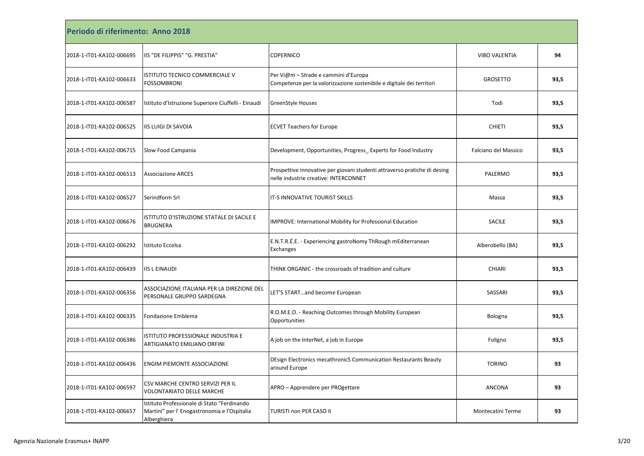| Periodo di riferimento: Anno 2018 |                                                                                                            |                                                                                                                    |                      |      |
|-----------------------------------|------------------------------------------------------------------------------------------------------------|--------------------------------------------------------------------------------------------------------------------|----------------------|------|
| 2018-1-IT01-KA102-006695          | IIS "DE FILIPPIS" "G. PRESTIA"                                                                             | <b>COPERNICO</b>                                                                                                   | VIBO VALENTIA        | 94   |
| 2018-1-IT01-KA102-006633          | ISTITUTO TECNICO COMMERCIALE V<br><b>FOSSOMBRONI</b>                                                       | Per Vi@m - Strade e cammini d'Europa<br>Competenze per la valorizzazione sostenibile e digitale dei territori      | <b>GROSETTO</b>      | 93,5 |
| 2018-1-IT01-KA102-006587          | Istituto d'Istruzione Superiore Ciuffelli - Einaudi                                                        | GreenStyle Houses                                                                                                  | Todi                 | 93,5 |
| 2018-1-IT01-KA102-006525          | <b>IIS LUIGI DI SAVOIA</b>                                                                                 | <b>ECVET Teachers for Europe</b>                                                                                   | <b>CHIETI</b>        | 93,5 |
| 2018-1-IT01-KA102-006715          | Slow Food Campania                                                                                         | Development, Opportunities, Progress_Experts for Food Industry                                                     | Falciano del Massico | 93,5 |
| 2018-1-IT01-KA102-006513          | <b>Associazione ARCES</b>                                                                                  | Prospettive innovative per giovani studenti attraverso pratiche di desing<br>nelle industrie creative: INTERCONNET | PALERMO              | 93,5 |
| 2018-1-IT01-KA102-006527          | Serindform Srl                                                                                             | IT-S INNOVATIVE TOURIST SKILLS                                                                                     | Massa                | 93,5 |
| 2018-1-IT01-KA102-006676          | ISTITUTO D'ISTRUZIONE STATALE DI SACILE E<br><b>BRUGNERA</b>                                               | IMPROVE: International Mobility for Professional Education                                                         | <b>SACILE</b>        | 93,5 |
| 2018-1-IT01-KA102-006292          | Istituto Eccelsa                                                                                           | E.N.T.R.É.E. - Experiencing gastroNomy ThRough mEditerranean<br>Exchanges                                          | Alberobello (BA)     | 93,5 |
| 2018-1-IT01-KA102-006439          | <b>IIS L EINAUDI</b>                                                                                       | THINK ORGANIC - the crossroads of tradition and culture                                                            | <b>CHIARI</b>        | 93,5 |
| 2018-1-IT01-KA102-006356          | ASSOCIAZIONE ITALIANA PER LA DIREZIONE DEL<br>PERSONALE GRUPPO SARDEGNA                                    | LET'S STARTand become European                                                                                     | SASSARI              | 93,5 |
| 2018-1-IT01-KA102-006335          | Fondazione Emblema                                                                                         | R.O.M.E.O. - Reaching Outcomes through Mobility European<br>Opportunities                                          | Bologna              | 93,5 |
| 2018-1-IT01-KA102-006386          | ISTITUTO PROFESSIONALE INDUSTRIA E<br><b>ARTIGIANATO EMILIANO ORFINI</b>                                   | A job on the InterNet, a job in Europe                                                                             | Foligno              | 93,5 |
| 2018-1-IT01-KA102-006436          | <b>ENGIM PIEMONTE ASSOCIAZIONE</b>                                                                         | DEsign Electronics mecathronicS Communication Restaurants Beauty<br>around Europe                                  | <b>TORINO</b>        | 93   |
| 2018-1-IT01-KA102-006597          | CSV MARCHE CENTRO SERVIZI PER IL<br><b>VOLONTARIATO DELLE MARCHE</b>                                       | APRO - Apprendere per PROgettare                                                                                   | ANCONA               | 93   |
| 2018-1-IT01-KA102-006657          | Istituto Professionale di Stato "Ferdinando<br>Martini" per l' Enogastronomia e l'Ospitalia<br>Alberghiera | TURISTI non PER CASO II                                                                                            | Montecatini Terme    | 93   |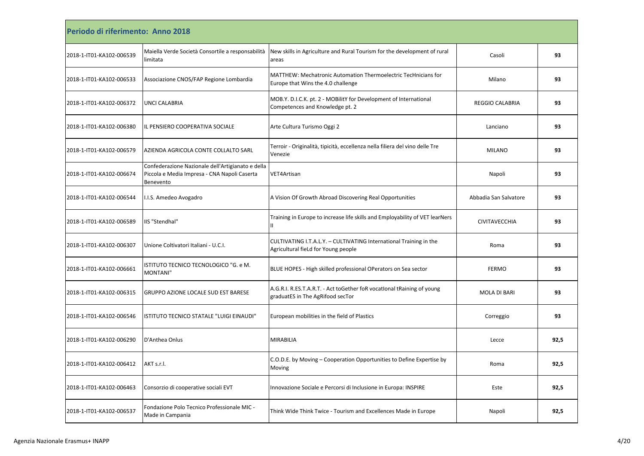| Periodo di riferimento: Anno 2018 |                                                                                                                |                                                                                                            |                        |      |
|-----------------------------------|----------------------------------------------------------------------------------------------------------------|------------------------------------------------------------------------------------------------------------|------------------------|------|
| 2018-1-IT01-KA102-006539          | Maiella Verde Società Consortile a responsabilità<br>limitata                                                  | New skills in Agriculture and Rural Tourism for the development of rural<br>areas                          | Casoli                 | 93   |
| 2018-1-IT01-KA102-006533          | Associazione CNOS/FAP Regione Lombardia                                                                        | MATTHEW: Mechatronic Automation Thermoelectric TecHnicians for<br>Europe that Wins the 4.0 challenge       | Milano                 | 93   |
| 2018-1-IT01-KA102-006372          | <b>UNCI CALABRIA</b>                                                                                           | MOB.Y. D.I.C.K. pt. 2 - MOBilitY for Development of International<br>Competences and Knowledge pt. 2       | <b>REGGIO CALABRIA</b> | 93   |
| 2018-1-IT01-KA102-006380          | IL PENSIERO COOPERATIVA SOCIALE                                                                                | Arte Cultura Turismo Oggi 2                                                                                | Lanciano               | 93   |
| 2018-1-IT01-KA102-006579          | AZIENDA AGRICOLA CONTE COLLALTO SARL                                                                           | Terroir - Originalità, tipicità, eccellenza nella filiera del vino delle Tre<br>Venezie                    | <b>MILANO</b>          | 93   |
| 2018-1-IT01-KA102-006674          | Confederazione Nazionale dell'Artigianato e della<br>Piccola e Media Impresa - CNA Napoli Caserta<br>Benevento | VET4Artisan                                                                                                | Napoli                 | 93   |
| 2018-1-IT01-KA102-006544          | I.I.S. Amedeo Avogadro                                                                                         | A Vision Of Growth Abroad Discovering Real Opportunities                                                   | Abbadia San Salvatore  | 93   |
| 2018-1-IT01-KA102-006589          | IIS "Stendhal"                                                                                                 | Training in Europe to increase life skills and Employability of VET learNers<br>н                          | CIVITAVECCHIA          | 93   |
| 2018-1-IT01-KA102-006307          | Unione Coltivatori Italiani - U.C.I.                                                                           | CULTIVATING I.T.A.L.Y. - CULTIVATING International Training in the<br>Agricultural fieLd for Young people  | Roma                   | 93   |
| 2018-1-IT01-KA102-006661          | ISTITUTO TECNICO TECNOLOGICO "G. e M.<br>MONTANI"                                                              | BLUE HOPES - High skilled professional OPerators on Sea sector                                             | <b>FERMO</b>           | 93   |
| 2018-1-IT01-KA102-006315          | <b>GRUPPO AZIONE LOCALE SUD EST BARESE</b>                                                                     | A.G.R.I. R.ES.T.A.R.T. - Act toGether foR vocational tRaining of young<br>graduatES in The AgRifood secTor | MOLA DI BARI           | 93   |
| 2018-1-IT01-KA102-006546          | ISTITUTO TECNICO STATALE "LUIGI EINAUDI"                                                                       | European mobilities in the field of Plastics                                                               | Correggio              | 93   |
| 2018-1-IT01-KA102-006290          | D'Anthea Onlus                                                                                                 | <b>MIRABILIA</b>                                                                                           | Lecce                  | 92,5 |
| 2018-1-IT01-KA102-006412          | AKT s.r.l.                                                                                                     | C.O.D.E. by Moving - Cooperation Opportunities to Define Expertise by<br>Moving                            | Roma                   | 92.5 |
| 2018-1-IT01-KA102-006463          | Consorzio di cooperative sociali EVT                                                                           | Innovazione Sociale e Percorsi di Inclusione in Europa: INSPIRE                                            | Este                   | 92,5 |
| 2018-1-IT01-KA102-006537          | Fondazione Polo Tecnico Professionale MIC -<br>Made in Campania                                                | Think Wide Think Twice - Tourism and Excellences Made in Europe                                            | Napoli                 | 92,5 |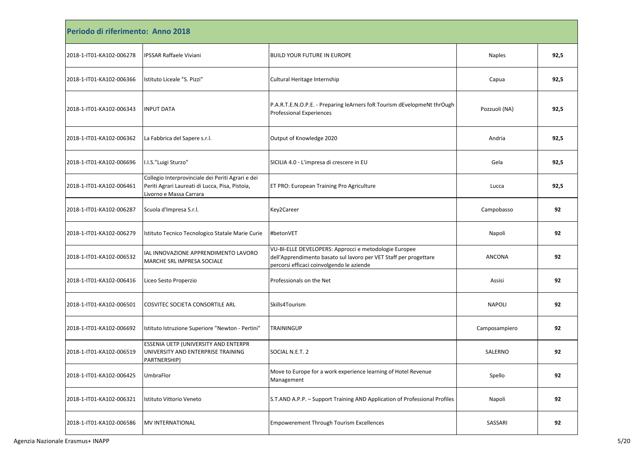| Periodo di riferimento: Anno 2018 |                                                                                                                                 |                                                                                                                                                                         |               |      |
|-----------------------------------|---------------------------------------------------------------------------------------------------------------------------------|-------------------------------------------------------------------------------------------------------------------------------------------------------------------------|---------------|------|
| 2018-1-IT01-KA102-006278          | <b>IPSSAR Raffaele Viviani</b>                                                                                                  | BUILD YOUR FUTURE IN EUROPE                                                                                                                                             | <b>Naples</b> | 92,5 |
| 2018-1-IT01-KA102-006366          | Istituto Liceale "S. Pizzi"                                                                                                     | Cultural Heritage Internship                                                                                                                                            | Capua         | 92,5 |
| 2018-1-IT01-KA102-006343          | <b>INPUT DATA</b>                                                                                                               | P.A.R.T.E.N.O.P.E. - Preparing leArners foR Tourism dEvelopmeNt thrOugh<br>Professional Experiences                                                                     | Pozzuoli (NA) | 92,5 |
| 2018-1-IT01-KA102-006362          | La Fabbrica del Sapere s.r.l.                                                                                                   | Output of Knowledge 2020                                                                                                                                                | Andria        | 92,5 |
| 2018-1-IT01-KA102-006696          | I.I.S."Luigi Sturzo"                                                                                                            | SICILIA 4.0 - L'impresa di crescere in EU                                                                                                                               | Gela          | 92,5 |
| 2018-1-IT01-KA102-006461          | Collegio Interprovinciale dei Periti Agrari e dei<br>Periti Agrari Laureati di Lucca, Pisa, Pistoia,<br>Livorno e Massa Carrara | ET PRO: European Training Pro Agriculture                                                                                                                               | Lucca         | 92,5 |
| 2018-1-IT01-KA102-006287          | Scuola d'Impresa S.r.l.                                                                                                         | Key2Career                                                                                                                                                              | Campobasso    | 92   |
| 2018-1-IT01-KA102-006279          | Istituto Tecnico Tecnologico Statale Marie Curie                                                                                | #betonVET                                                                                                                                                               | Napoli        | 92   |
| 2018-1-IT01-KA102-006532          | IAL INNOVAZIONE APPRENDIMENTO LAVORO<br>MARCHE SRL IMPRESA SOCIALE                                                              | VU-BI-ELLE DEVELOPERS: Approcci e metodologie Europee<br>dell'Apprendimento basato sul lavoro per VET Staff per progettare<br>percorsi efficaci coinvolgendo le aziende | <b>ANCONA</b> | 92   |
| 2018-1-IT01-KA102-006416          | Liceo Sesto Properzio                                                                                                           | Professionals on the Net                                                                                                                                                | Assisi        | 92   |
| 2018-1-IT01-KA102-006501          | <b>COSVITEC SOCIETA CONSORTILE ARL</b>                                                                                          | Skills4Tourism                                                                                                                                                          | <b>NAPOLI</b> | 92   |
| 2018-1-IT01-KA102-006692          | Istituto Istruzione Superiore "Newton - Pertini"                                                                                | <b>TRAININGUP</b>                                                                                                                                                       | Camposampiero | 92   |
| 2018-1-IT01-KA102-006519          | <b>ESSENIA UETP (UNIVERSITY AND ENTERPR</b><br>UNIVERSITY AND ENTERPRISE TRAINING<br>PARTNERSHIP)                               | SOCIAL N.E.T. 2                                                                                                                                                         | SALERNO       | 92   |
| 2018-1-IT01-KA102-006425          | UmbraFlor                                                                                                                       | Move to Europe for a work experience learning of Hotel Revenue<br>Management                                                                                            | Spello        | 92   |
| 2018-1-IT01-KA102-006321          | Istituto Vittorio Veneto                                                                                                        | S.T.AND A.P.P. - Support Training AND Application of Professional Profiles                                                                                              | Napoli        | 92   |
| 2018-1-IT01-KA102-006586          | <b>MV INTERNATIONAL</b>                                                                                                         | <b>Empowerement Through Tourism Excellences</b>                                                                                                                         | SASSARI       | 92   |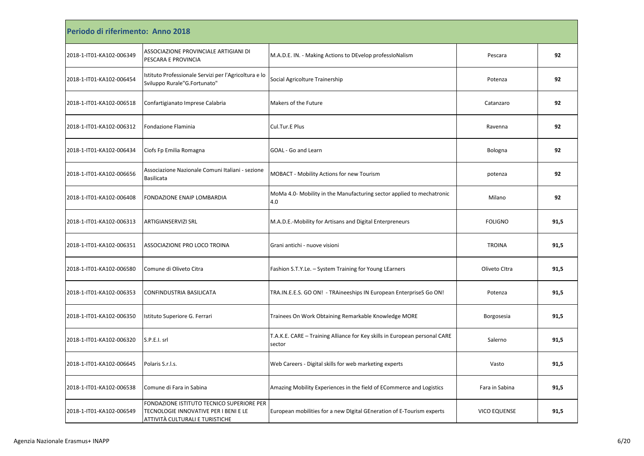| Periodo di riferimento: Anno 2018 |                                                                                                                       |                                                                                      |                     |      |
|-----------------------------------|-----------------------------------------------------------------------------------------------------------------------|--------------------------------------------------------------------------------------|---------------------|------|
| 2018-1-IT01-KA102-006349          | ASSOCIAZIONE PROVINCIALE ARTIGIANI DI<br>PESCARA E PROVINCIA                                                          | M.A.D.E. IN. - Making Actions to DEvelop professioNalism                             | Pescara             | 92   |
| 2018-1-IT01-KA102-006454          | Istituto Professionale Servizi per l'Agricoltura e lo<br>Sviluppo Rurale"G.Fortunato"                                 | Social Agricolture Trainership                                                       | Potenza             | 92   |
| 2018-1-IT01-KA102-006518          | Confartigianato Imprese Calabria                                                                                      | Makers of the Future                                                                 | Catanzaro           | 92   |
| 2018-1-IT01-KA102-006312          | <b>Fondazione Flaminia</b>                                                                                            | Cul.Tur.E Plus                                                                       | Ravenna             | 92   |
| 2018-1-IT01-KA102-006434          | Ciofs Fp Emilia Romagna                                                                                               | GOAL - Go and Learn                                                                  | Bologna             | 92   |
| 2018-1-IT01-KA102-006656          | Associazione Nazionale Comuni Italiani - sezione<br><b>Basilicata</b>                                                 | MOBACT - Mobility Actions for new Tourism                                            | potenza             | 92   |
| 2018-1-IT01-KA102-006408          | FONDAZIONE ENAIP LOMBARDIA                                                                                            | MoMa 4.0- Mobility in the Manufacturing sector applied to mechatronic<br>4.0         | Milano              | 92   |
| 2018-1-IT01-KA102-006313          | <b>ARTIGIANSERVIZI SRL</b>                                                                                            | M.A.D.E.-Mobility for Artisans and Digital Enterpreneurs                             | <b>FOLIGNO</b>      | 91,5 |
| 2018-1-IT01-KA102-006351          | ASSOCIAZIONE PRO LOCO TROINA                                                                                          | Grani antichi - nuove visioni                                                        | <b>TROINA</b>       | 91,5 |
| 2018-1-IT01-KA102-006580          | Comune di Oliveto Citra                                                                                               | Fashion S.T.Y.Le. - System Training for Young LEarners                               | Oliveto Citra       | 91,5 |
| 2018-1-IT01-KA102-006353          | CONFINDUSTRIA BASILICATA                                                                                              | TRA.IN.E.E.S. GO ON! - TRAineeships IN European EnterpriseS Go ON!                   | Potenza             | 91,5 |
| 2018-1-IT01-KA102-006350          | Istituto Superiore G. Ferrari                                                                                         | Trainees On Work Obtaining Remarkable Knowledge MORE                                 | Borgosesia          | 91,5 |
| 2018-1-IT01-KA102-006320          | S.P.E.I. srl                                                                                                          | T.A.K.E. CARE - Training Alliance for Key skills in European personal CARE<br>sector | Salerno             | 91,5 |
| 2018-1-IT01-KA102-006645          | Polaris S.r.l.s.                                                                                                      | Web Careers - Digital skills for web marketing experts                               | Vasto               | 91,5 |
| 2018-1-IT01-KA102-006538          | Comune di Fara in Sabina                                                                                              | Amazing Mobility Experiences in the field of ECommerce and Logistics                 | Fara in Sabina      | 91,5 |
| 2018-1-IT01-KA102-006549          | FONDAZIONE ISTITUTO TECNICO SUPERIORE PER<br>TECNOLOGIE INNOVATIVE PER I BENI E LE<br>ATTIVITÀ CULTURALI E TURISTICHE | European mobilities for a new Digital GEneration of E-Tourism experts                | <b>VICO EQUENSE</b> | 91,5 |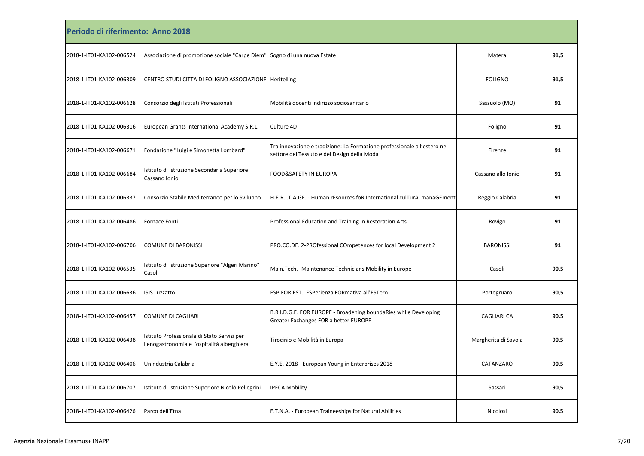| Periodo di riferimento: Anno 2018 |                                                                                            |                                                                                                                         |                      |      |
|-----------------------------------|--------------------------------------------------------------------------------------------|-------------------------------------------------------------------------------------------------------------------------|----------------------|------|
| 2018-1-IT01-KA102-006524          | Associazione di promozione sociale "Carpe Diem"                                            | Sogno di una nuova Estate                                                                                               | Matera               | 91,5 |
| 2018-1-IT01-KA102-006309          | CENTRO STUDI CITTA DI FOLIGNO ASSOCIAZIONE Heritelling                                     |                                                                                                                         | <b>FOLIGNO</b>       | 91,5 |
| 2018-1-IT01-KA102-006628          | Consorzio degli Istituti Professionali                                                     | Mobilità docenti indirizzo sociosanitario                                                                               | Sassuolo (MO)        | 91   |
| 2018-1-IT01-KA102-006316          | European Grants International Academy S.R.L.                                               | Culture 4D                                                                                                              | Foligno              | 91   |
| 2018-1-IT01-KA102-006671          | Fondazione "Luigi e Simonetta Lombard"                                                     | Tra innovazione e tradizione: La Formazione professionale all'estero nel<br>settore del Tessuto e del Design della Moda | Firenze              | 91   |
| 2018-1-IT01-KA102-006684          | Istituto di Istruzione Secondaria Superiore<br>Cassano Ionio                               | FOOD&SAFETY IN EUROPA                                                                                                   | Cassano allo Ionio   | 91   |
| 2018-1-IT01-KA102-006337          | Consorzio Stabile Mediterraneo per lo Sviluppo                                             | H.E.R.I.T.A.GE. - Human rEsources foR International culTurAl manaGEment                                                 | Reggio Calabria      | 91   |
| 2018-1-IT01-KA102-006486          | <b>Fornace Fonti</b>                                                                       | Professional Education and Training in Restoration Arts                                                                 | Rovigo               | 91   |
| 2018-1-IT01-KA102-006706          | <b>COMUNE DI BARONISSI</b>                                                                 | PRO.CO.DE. 2-PROfessional COmpetences for local Development 2                                                           | <b>BARONISSI</b>     | 91   |
| 2018-1-IT01-KA102-006535          | Istituto di Istruzione Superiore "Algeri Marino"<br>Casoli                                 | Main. Tech. - Maintenance Technicians Mobility in Europe                                                                | Casoli               | 90,5 |
| 2018-1-IT01-KA102-006636          | <b>ISIS Luzzatto</b>                                                                       | ESP.FOR.EST.: ESPerienza FORmativa all'ESTero                                                                           | Portogruaro          | 90,5 |
| 2018-1-IT01-KA102-006457          | <b>COMUNE DI CAGLIARI</b>                                                                  | B.R.I.D.G.E. FOR EUROPE - Broadening boundaRies while Developing<br>Greater Exchanges FOR a better EUROPE               | <b>CAGLIARI CA</b>   | 90,5 |
| 2018-1-IT01-KA102-006438          | Istituto Professionale di Stato Servizi per<br>l'enogastronomia e l'ospitalità alberghiera | Tirocinio e Mobilità in Europa                                                                                          | Margherita di Savoia | 90,5 |
| 2018-1-IT01-KA102-006406          | Unindustria Calabria                                                                       | E.Y.E. 2018 - European Young in Enterprises 2018                                                                        | CATANZARO            | 90,5 |
| 2018-1-IT01-KA102-006707          | Istituto di Istruzione Superiore Nicolò Pellegrini                                         | <b>IPECA Mobility</b>                                                                                                   | Sassari              | 90,5 |
| 2018-1-IT01-KA102-006426          | Parco dell'Etna                                                                            | E.T.N.A. - European Traineeships for Natural Abilities                                                                  | Nicolosi             | 90,5 |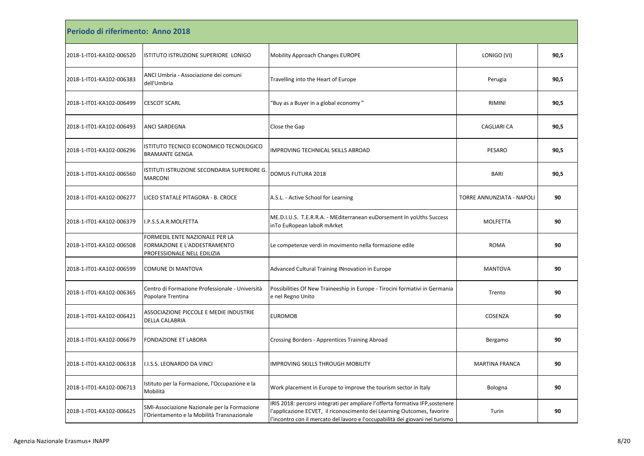| Periodo di riferimento: Anno 2018 |                                                                                               |                                                                                                                                                                                                                                           |                           |      |
|-----------------------------------|-----------------------------------------------------------------------------------------------|-------------------------------------------------------------------------------------------------------------------------------------------------------------------------------------------------------------------------------------------|---------------------------|------|
| 2018-1-IT01-KA102-006520          | ISTITUTO ISTRUZIONE SUPERIORE LONIGO                                                          | <b>Mobility Approach Changes EUROPE</b>                                                                                                                                                                                                   | LONIGO (VI)               | 90,5 |
| 2018-1-IT01-KA102-006383          | ANCI Umbria - Associazione dei comuni<br>dell'Umbria                                          | Travelling into the Heart of Europe                                                                                                                                                                                                       | Perugia                   | 90,5 |
| 2018-1-IT01-KA102-006499          | <b>CESCOT SCARL</b>                                                                           | 'Buy as a Buyer in a global economy "                                                                                                                                                                                                     | <b>RIMINI</b>             | 90,5 |
| 2018-1-IT01-KA102-006493          | ANCI SARDEGNA                                                                                 | Close the Gap                                                                                                                                                                                                                             | CAGLIARI CA               | 90,5 |
| 2018-1-IT01-KA102-006296          | ISTITUTO TECNICO ECONOMICO TECNOLOGICO<br><b>BRAMANTE GENGA</b>                               | IMPROVING TECHNICAL SKILLS ABROAD                                                                                                                                                                                                         | PESARO                    | 90,5 |
| 2018-1-IT01-KA102-006560          | ISTITUTI ISTRUZIONE SECONDARIA SUPERIORE G.<br><b>MARCONI</b>                                 | DOMUS FUTURA 2018                                                                                                                                                                                                                         | <b>BARI</b>               | 90,5 |
| 2018-1-IT01-KA102-006277          | LICEO STATALE PITAGORA - B. CROCE                                                             | A.S.L. - Active School for Learning                                                                                                                                                                                                       | TORRE ANNUNZIATA - NAPOLI | 90   |
| 2018-1-IT01-KA102-006379          | I.P.S.S.A.R.MOLFETTA                                                                          | ME.D.I.U.S. T.E.R.R.A. - MEditerranean euDorsement In yoUths Success<br>inTo EuRopean laboR mArket                                                                                                                                        | MOLFETTA                  | 90   |
| 2018-1-IT01-KA102-006508          | FORMEDIL ENTE NAZIONALE PER LA<br>FORMAZIONE E L'ADDESTRAMENTO<br>PROFESSIONALE NELL EDILIZIA | Le competenze verdi in movimento nella formazione edile                                                                                                                                                                                   | <b>ROMA</b>               | 90   |
| 2018-1-IT01-KA102-006599          | COMUNE DI MANTOVA                                                                             | Advanced Cultural Training INnovation in Europe                                                                                                                                                                                           | <b>MANTOVA</b>            | 90   |
| 2018-1-IT01-KA102-006365          | Centro di Formazione Professionale - Università<br>Popolare Trentina                          | Possibilities Of New Traineeship in Europe - Tirocini formativi in Germania<br>e nel Regno Unito                                                                                                                                          | Trento                    | 90   |
| 2018-1-IT01-KA102-006421          | ASSOCIAZIONE PICCOLE E MEDIE INDUSTRIE<br>DELLA CALABRIA                                      | <b>EUROMOB</b>                                                                                                                                                                                                                            | COSENZA                   | 90   |
| 2018-1-IT01-KA102-006679          | <b>FONDAZIONE ET LABORA</b>                                                                   | Crossing Borders - Apprentices Training Abroad                                                                                                                                                                                            | Bergamo                   | 90   |
| 2018-1-IT01-KA102-006318          | I.I.S.S. LEONARDO DA VINCI                                                                    | IMPROVING SKILLS THROUGH MOBILITY                                                                                                                                                                                                         | <b>MARTINA FRANCA</b>     | 90   |
| 2018-1-IT01-KA102-006713          | Istituto per la Formazione, l'Occupazione e la<br>Mobilità                                    | Work placement in Europe to improve the tourism sector in Italy                                                                                                                                                                           | Bologna                   | 90   |
| 2018-1-IT01-KA102-006625          | SMI-Associazione Nazionale per la Formazione<br>l'Orientamento e la Mobilità Transnazionale   | IRIS 2018: percorsi integrati per ampliare l'offerta formativa IFP, sostenere<br>l'applicazione ECVET, il riconoscimento dei Learning Outcomes, favorire<br>l'incontro con il mercato del lavoro e l'occupabilità dei giovani nel turismo | Turin                     | 90   |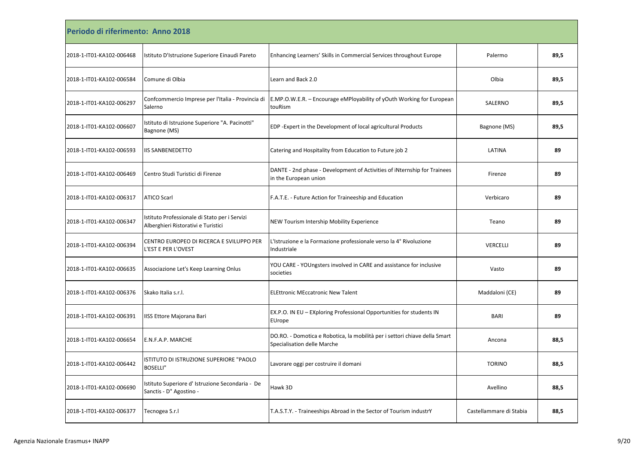| Periodo di riferimento: Anno 2018 |                                                                                      |                                                                                                           |                         |      |
|-----------------------------------|--------------------------------------------------------------------------------------|-----------------------------------------------------------------------------------------------------------|-------------------------|------|
| 2018-1-IT01-KA102-006468          | Istituto D'Istruzione Superiore Einaudi Pareto                                       | Enhancing Learners' Skills in Commercial Services throughout Europe                                       | Palermo                 | 89,5 |
| 2018-1-IT01-KA102-006584          | Comune di Olbia                                                                      | Learn and Back 2.0                                                                                        | Olbia                   | 89,5 |
| 2018-1-IT01-KA102-006297          | Confcommercio Imprese per l'Italia - Provincia di<br>Salerno                         | E.MP.O.W.E.R. – Encourage eMPloyability of yOuth Working for European<br>touRism                          | SALERNO                 | 89,5 |
| 2018-1-IT01-KA102-006607          | Istituto di Istruzione Superiore "A. Pacinotti"<br>Bagnone (MS)                      | EDP - Expert in the Development of local agricultural Products                                            | Bagnone (MS)            | 89,5 |
| 2018-1-IT01-KA102-006593          | <b>IIS SANBENEDETTO</b>                                                              | Catering and Hospitality from Education to Future job 2                                                   | LATINA                  | 89   |
| 2018-1-IT01-KA102-006469          | Centro Studi Turistici di Firenze                                                    | DANTE - 2nd phase - Development of Activities of iNternship for Trainees<br>in the European union         | Firenze                 | 89   |
| 2018-1-IT01-KA102-006317          | <b>ATICO Scarl</b>                                                                   | F.A.T.E. - Future Action for Traineeship and Education                                                    | Verbicaro               | 89   |
| 2018-1-IT01-KA102-006347          | Istituto Professionale di Stato per i Servizi<br>Alberghieri Ristorativi e Turistici | NEW Tourism Intership Mobility Experience                                                                 | Teano                   | 89   |
| 2018-1-IT01-KA102-006394          | CENTRO EUROPEO DI RICERCA E SVILUPPO PER<br>L'EST E PER L'OVEST                      | L'Istruzione e la Formazione professionale verso la 4° Rivoluzione<br>Industriale                         | VERCELLI                | 89   |
| 2018-1-IT01-KA102-006635          | Associazione Let's Keep Learning Onlus                                               | YOU CARE - YOUngsters involved in CARE and assistance for inclusive<br>societies                          | Vasto                   | 89   |
| 2018-1-IT01-KA102-006376          | Skako Italia s.r.l.                                                                  | <b>ELEttronic MEccatronic New Talent</b>                                                                  | Maddaloni (CE)          | 89   |
| 2018-1-IT01-KA102-006391          | IISS Ettore Majorana Bari                                                            | EX.P.O. IN EU - EXploring Professional Opportunities for students IN<br>EUrope                            | <b>BARI</b>             | 89   |
| 2018-1-IT01-KA102-006654          | E.N.F.A.P. MARCHE                                                                    | DO.RO. - Domotica e Robotica, la mobilità per i settori chiave della Smart<br>Specialisation delle Marche | Ancona                  | 88,5 |
| 2018-1-IT01-KA102-006442          | ISTITUTO DI ISTRUZIONE SUPERIORE "PAOLO<br><b>BOSELLI"</b>                           | Lavorare oggi per costruire il domani                                                                     | <b>TORINO</b>           | 88,5 |
| 2018-1-IT01-KA102-006690          | Istituto Superiore d' Istruzione Secondaria - De<br>Sanctis - D" Agostino -          | Hawk 3D                                                                                                   | Avellino                | 88,5 |
| 2018-1-IT01-KA102-006377          | Tecnogea S.r.l                                                                       | T.A.S.T.Y. - Traineeships Abroad in the Sector of Tourism industrY                                        | Castellammare di Stabia | 88,5 |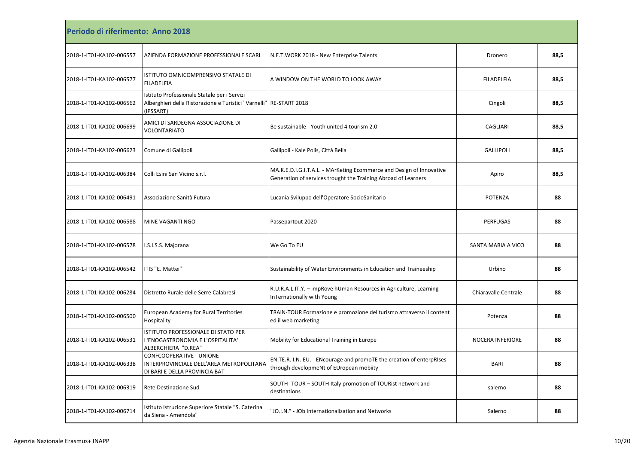| Periodo di riferimento: Anno 2018 |                                                                                                                                  |                                                                                                                                        |                         |      |
|-----------------------------------|----------------------------------------------------------------------------------------------------------------------------------|----------------------------------------------------------------------------------------------------------------------------------------|-------------------------|------|
| 2018-1-IT01-KA102-006557          | AZIENDA FORMAZIONE PROFESSIONALE SCARL                                                                                           | N.E.T. WORK 2018 - New Enterprise Talents                                                                                              | Dronero                 | 88,5 |
| 2018-1-IT01-KA102-006577          | ISTITUTO OMNICOMPRENSIVO STATALE DI<br><b>FILADELFIA</b>                                                                         | A WINDOW ON THE WORLD TO LOOK AWAY                                                                                                     | <b>FILADELFIA</b>       | 88,5 |
| 2018-1-IT01-KA102-006562          | Istituto Professionale Statale per i Servizi<br>Alberghieri della Ristorazione e Turistici "Varnelli" RE-START 2018<br>(IPSSART) |                                                                                                                                        | Cingoli                 | 88,5 |
| 2018-1-IT01-KA102-006699          | AMICI DI SARDEGNA ASSOCIAZIONE DI<br><b>VOLONTARIATO</b>                                                                         | Be sustainable - Youth united 4 tourism 2.0                                                                                            | <b>CAGLIARI</b>         | 88,5 |
| 2018-1-IT01-KA102-006623          | Comune di Gallipoli                                                                                                              | Gallipoli - Kale Polis, Città Bella                                                                                                    | <b>GALLIPOLI</b>        | 88,5 |
| 2018-1-IT01-KA102-006384          | Colli Esini San Vicino s.r.l.                                                                                                    | MA.K.E.D.I.G.I.T.A.L. - MArKeting Ecommerce and Design of Innovative<br>Generation of services trought the Training Abroad of Learners | Apiro                   | 88,5 |
| 2018-1-IT01-KA102-006491          | Associazione Sanità Futura                                                                                                       | Lucania Sviluppo dell'Operatore SocioSanitario                                                                                         | POTENZA                 | 88   |
| 2018-1-IT01-KA102-006588          | MINE VAGANTI NGO                                                                                                                 | Passepartout 2020                                                                                                                      | <b>PERFUGAS</b>         | 88   |
| 2018-1-IT01-KA102-006578          | I.S.I.S.S. Majorana                                                                                                              | We Go To EU                                                                                                                            | SANTA MARIA A VICO      | 88   |
| 2018-1-IT01-KA102-006542          | ITIS "E. Mattei"                                                                                                                 | Sustainability of Water Environments in Education and Traineeship                                                                      | Urbino                  | 88   |
| 2018-1-IT01-KA102-006284          | Distretto Rurale delle Serre Calabresi                                                                                           | R.U.R.A.L.IT.Y. - impRove hUman Resources in Agriculture, Learning<br>InTernationally with Young                                       | Chiaravalle Centrale    | 88   |
| 2018-1-IT01-KA102-006500          | <b>European Academy for Rural Territories</b><br>Hospitality                                                                     | TRAIN-TOUR Formazione e promozione del turismo attraverso il content<br>ed il web marketing                                            | Potenza                 | 88   |
| 2018-1-IT01-KA102-006531          | ISTITUTO PROFESSIONALE DI STATO PER<br>L'ENOGASTRONOMIA E L'OSPITALITA'<br>ALBERGHIERA "D.REA"                                   | Mobility for Educational Training in Europe                                                                                            | <b>NOCERA INFERIORE</b> | 88   |
| 2018-1-IT01-KA102-006338          | CONFCOOPERATIVE - UNIONE<br>INTERPROVINCIALE DELL'AREA METROPOLITANA<br>DI BARI E DELLA PROVINCIA BAT                            | EN.TE.R. I.N. EU. - ENcourage and promoTE the creation of enterpRIses<br>through developmeNt of EUropean mobiity                       | <b>BARI</b>             | 88   |
| 2018-1-IT01-KA102-006319          | Rete Destinazione Sud                                                                                                            | SOUTH -TOUR - SOUTH Italy promotion of TOURist network and<br>destinations                                                             | salerno                 | 88   |
| 2018-1-IT01-KA102-006714          | Istituto Istruzione Superiore Statale "S. Caterina<br>da Siena - Amendola"                                                       | 'JO.I.N." - JOb Internationalization and Networks                                                                                      | Salerno                 | 88   |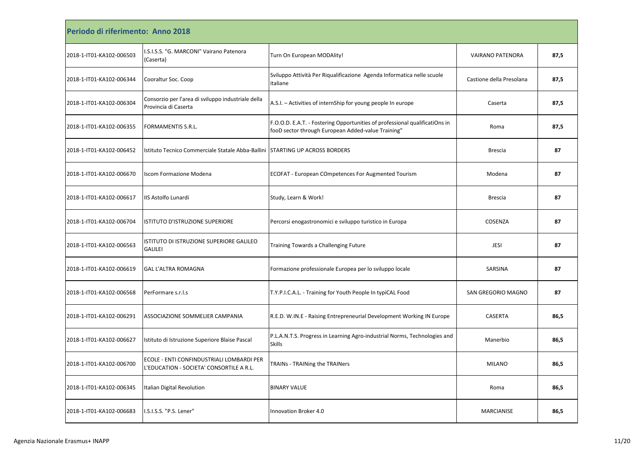| Periodo di riferimento: Anno 2018 |                                                                                       |                                                                                                                                   |                          |      |
|-----------------------------------|---------------------------------------------------------------------------------------|-----------------------------------------------------------------------------------------------------------------------------------|--------------------------|------|
| 2018-1-IT01-KA102-006503          | I.S.I.S.S. "G. MARCONI" Vairano Patenora<br>(Caserta)                                 | Turn On European MODAlity!                                                                                                        | <b>VAIRANO PATENORA</b>  | 87,5 |
| 2018-1-IT01-KA102-006344          | Cooraltur Soc. Coop                                                                   | Sviluppo Attività Per Riqualificazione Agenda Informatica nelle scuole<br>italiane                                                | Castione della Presolana | 87,5 |
| 2018-1-IT01-KA102-006304          | Consorzio per l'area di sviluppo industriale della<br>Provincia di Caserta            | A.S.I. - Activities of internShip for young people In europe                                                                      | Caserta                  | 87,5 |
| 2018-1-IT01-KA102-006355          | <b>FORMAMENTIS S.R.L.</b>                                                             | F.O.O.D. E.A.T. - Fostering Opportunities of professional qualificatiOns in<br>fooD sector through European Added-value Training" | Roma                     | 87,5 |
| 2018-1-IT01-KA102-006452          | Istituto Tecnico Commerciale Statale Abba-Ballini   STARTING UP ACROSS BORDERS        |                                                                                                                                   | <b>Brescia</b>           | 87   |
| 2018-1-IT01-KA102-006670          | <b>Iscom Formazione Modena</b>                                                        | <b>ECOFAT - European COmpetences For Augmented Tourism</b>                                                                        | Modena                   | 87   |
| 2018-1-IT01-KA102-006617          | IIS Astolfo Lunardi                                                                   | Study, Learn & Work!                                                                                                              | <b>Brescia</b>           | 87   |
| 2018-1-IT01-KA102-006704          | ISTITUTO D'ISTRUZIONE SUPERIORE                                                       | Percorsi enogastronomici e sviluppo turistico in Europa                                                                           | COSENZA                  | 87   |
| 2018-1-IT01-KA102-006563          | ISTITUTO DI ISTRUZIONE SUPERIORE GALILEO<br><b>GALILEI</b>                            | Training Towards a Challenging Future                                                                                             | <b>JESI</b>              | 87   |
| 2018-1-IT01-KA102-006619          | <b>GAL L'ALTRA ROMAGNA</b>                                                            | Formazione professionale Europea per lo sviluppo locale                                                                           | SARSINA                  | 87   |
| 2018-1-IT01-KA102-006568          | PerFormare s.r.l.s                                                                    | T.Y.P.I.C.A.L. - Training for Youth People In typiCAL Food                                                                        | SAN GREGORIO MAGNO       | 87   |
| 2018-1-IT01-KA102-006291          | ASSOCIAZIONE SOMMELIER CAMPANIA                                                       | R.E.D. W.IN.E - Raising Entrepreneurial Development Working IN Europe                                                             | CASERTA                  | 86,5 |
| 2018-1-IT01-KA102-006627          | Istituto di Istruzione Superiore Blaise Pascal                                        | P.L.A.N.T.S. Progress in Learning Agro-industrial Norms, Technologies and<br><b>Skills</b>                                        | Manerbio                 | 86,5 |
| 2018-1-IT01-KA102-006700          | ECOLE - ENTI CONFINDUSTRIALI LOMBARDI PER<br>L'EDUCATION - SOCIETA' CONSORTILE A R.L. | TRAINs - TRAINing the TRAINers                                                                                                    | <b>MILANO</b>            | 86,5 |
| 2018-1-IT01-KA102-006345          | Italian Digital Revolution                                                            | <b>BINARY VALUE</b>                                                                                                               | Roma                     | 86,5 |
| 2018-1-IT01-KA102-006683          | I.S.I.S.S. "P.S. Lener"                                                               | Innovation Broker 4.0                                                                                                             | <b>MARCIANISE</b>        | 86,5 |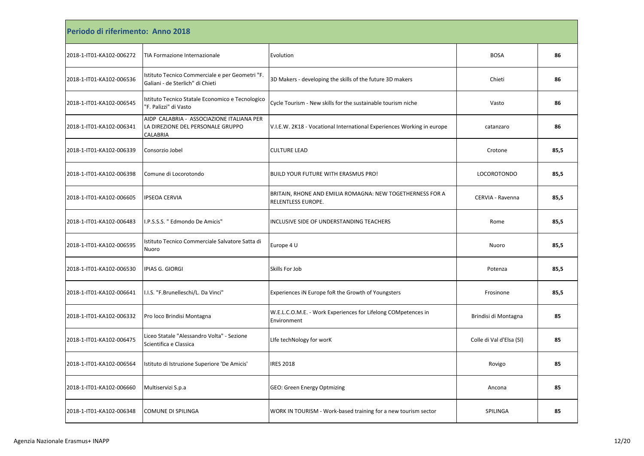| Periodo di riferimento: Anno 2018 |                                                                                            |                                                                                 |                          |      |
|-----------------------------------|--------------------------------------------------------------------------------------------|---------------------------------------------------------------------------------|--------------------------|------|
| 2018-1-IT01-KA102-006272          | TIA Formazione Internazionale                                                              | Evolution                                                                       | <b>BOSA</b>              | 86   |
| 2018-1-IT01-KA102-006536          | Istituto Tecnico Commerciale e per Geometri "F.<br>Galiani - de Sterlich" di Chieti        | 3D Makers - developing the skills of the future 3D makers                       | Chieti                   | 86   |
| 2018-1-IT01-KA102-006545          | Istituto Tecnico Statale Economico e Tecnologico<br>'F. Palizzi" di Vasto                  | Cycle Tourism - New skills for the sustainable tourism niche                    | Vasto                    | 86   |
| 2018-1-IT01-KA102-006341          | AIDP CALABRIA - ASSOCIAZIONE ITALIANA PER<br>LA DIREZIONE DEL PERSONALE GRUPPO<br>CALABRIA | V.I.E.W. 2K18 - Vocational International Experiences Working in europe          | catanzaro                | 86   |
| 2018-1-IT01-KA102-006339          | Consorzio Jobel                                                                            | <b>CULTURE LEAD</b>                                                             | Crotone                  | 85,5 |
| 2018-1-IT01-KA102-006398          | Comune di Locorotondo                                                                      | <b>BUILD YOUR FUTURE WITH ERASMUS PRO!</b>                                      | LOCOROTONDO              | 85,5 |
| 2018-1-IT01-KA102-006605          | <b>IPSEOA CERVIA</b>                                                                       | BRITAIN, RHONE AND EMILIA ROMAGNA: NEW TOGETHERNESS FOR A<br>RELENTLESS EUROPE. | CERVIA - Ravenna         | 85,5 |
| 2018-1-IT01-KA102-006483          | I.P.S.S.S. " Edmondo De Amicis'                                                            | INCLUSIVE SIDE OF UNDERSTANDING TEACHERS                                        | Rome                     | 85,5 |
| 2018-1-IT01-KA102-006595          | Istituto Tecnico Commerciale Salvatore Satta di<br>Nuoro                                   | Europe 4 U                                                                      | Nuoro                    | 85,5 |
| 2018-1-IT01-KA102-006530          | IPIAS G. GIORGI                                                                            | Skills For Job                                                                  | Potenza                  | 85,5 |
| 2018-1-IT01-KA102-006641          | I.I.S. "F.Brunelleschi/L. Da Vinci"                                                        | Experiences iN Europe foR the Growth of Youngsters                              | Frosinone                | 85,5 |
| 2018-1-IT01-KA102-006332          | Pro loco Brindisi Montagna                                                                 | W.E.L.C.O.M.E. - Work Experiences for Lifelong COMpetences in<br>Environment    | Brindisi di Montagna     | 85   |
| 2018-1-IT01-KA102-006475          | Liceo Statale "Alessandro Volta" - Sezione<br>Scientifica e Classica                       | Life techNology for worK                                                        | Colle di Val d'Elsa (SI) | 85   |
| 2018-1-IT01-KA102-006564          | Istituto di Istruzione Superiore 'De Amicis'                                               | <b>IRES 2018</b>                                                                | Rovigo                   | 85   |
| 2018-1-IT01-KA102-006660          | Multiservizi S.p.a                                                                         | GEO: Green Energy Optmizing                                                     | Ancona                   | 85   |
| 2018-1-IT01-KA102-006348          | <b>COMUNE DI SPILINGA</b>                                                                  | WORK IN TOURISM - Work-based training for a new tourism sector                  | SPILINGA                 | 85   |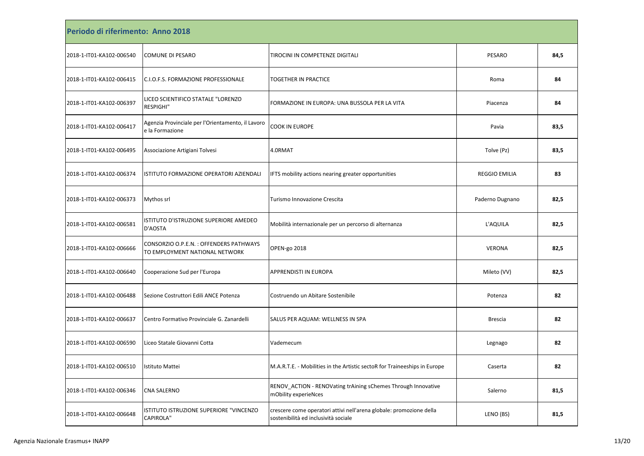| Periodo di riferimento: Anno 2018 |                                                                          |                                                                                                             |                      |      |  |
|-----------------------------------|--------------------------------------------------------------------------|-------------------------------------------------------------------------------------------------------------|----------------------|------|--|
| 2018-1-IT01-KA102-006540          | <b>COMUNE DI PESARO</b>                                                  | TIROCINI IN COMPETENZE DIGITALI                                                                             | <b>PESARO</b>        | 84,5 |  |
| 2018-1-IT01-KA102-006415          | C.I.O.F.S. FORMAZIONE PROFESSIONALE                                      | TOGETHER IN PRACTICE                                                                                        | Roma                 | 84   |  |
| 2018-1-IT01-KA102-006397          | LICEO SCIENTIFICO STATALE "LORENZO<br><b>RESPIGHI"</b>                   | FORMAZIONE IN EUROPA: UNA BUSSOLA PER LA VITA                                                               | Piacenza             | 84   |  |
| 2018-1-IT01-KA102-006417          | Agenzia Provinciale per l'Orientamento, il Lavoro<br>e la Formazione     | <b>COOK IN EUROPE</b>                                                                                       | Pavia                | 83,5 |  |
| 2018-1-IT01-KA102-006495          | Associazione Artigiani Tolvesi                                           | 4.0RMAT                                                                                                     | Tolve (Pz)           | 83,5 |  |
| 2018-1-IT01-KA102-006374          | ISTITUTO FORMAZIONE OPERATORI AZIENDALI                                  | IFTS mobility actions nearing greater opportunities                                                         | <b>REGGIO EMILIA</b> | 83   |  |
| 2018-1-IT01-KA102-006373          | Mythos srl                                                               | Turismo Innovazione Crescita                                                                                | Paderno Dugnano      | 82,5 |  |
| 2018-1-IT01-KA102-006581          | ISTITUTO D'ISTRUZIONE SUPERIORE AMEDEO<br>D'AOSTA                        | Mobilità internazionale per un percorso di alternanza                                                       | L'AQUILA             | 82,5 |  |
| 2018-1-IT01-KA102-006666          | CONSORZIO O.P.E.N.: OFFENDERS PATHWAYS<br>TO EMPLOYMENT NATIONAL NETWORK | OPEN-go 2018                                                                                                | <b>VERONA</b>        | 82,5 |  |
| 2018-1-IT01-KA102-006640          | Cooperazione Sud per l'Europa                                            | APPRENDISTI IN EUROPA                                                                                       | Mileto (VV)          | 82,5 |  |
| 2018-1-IT01-KA102-006488          | Sezione Costruttori Edili ANCE Potenza                                   | Costruendo un Abitare Sostenibile                                                                           | Potenza              | 82   |  |
| 2018-1-IT01-KA102-006637          | Centro Formativo Provinciale G. Zanardelli                               | SALUS PER AQUAM: WELLNESS IN SPA                                                                            | Brescia              | 82   |  |
| 2018-1-IT01-KA102-006590          | Liceo Statale Giovanni Cotta                                             | Vademecum                                                                                                   | Legnago              | 82   |  |
| 2018-1-IT01-KA102-006510          | Istituto Mattei                                                          | M.A.R.T.E. - Mobilities in the Artistic sectoR for Traineeships in Europe                                   | Caserta              | 82   |  |
| 2018-1-IT01-KA102-006346          | <b>CNA SALERNO</b>                                                       | RENOV_ACTION - RENOVating trAining sChemes Through Innovative<br>mObility experieNces                       | Salerno              | 81,5 |  |
| 2018-1-IT01-KA102-006648          | ISTITUTO ISTRUZIONE SUPERIORE "VINCENZO<br><b>CAPIROLA"</b>              | crescere come operatori attivi nell'arena globale: promozione della<br>sostenibilità ed inclusività sociale | LENO (BS)            | 81,5 |  |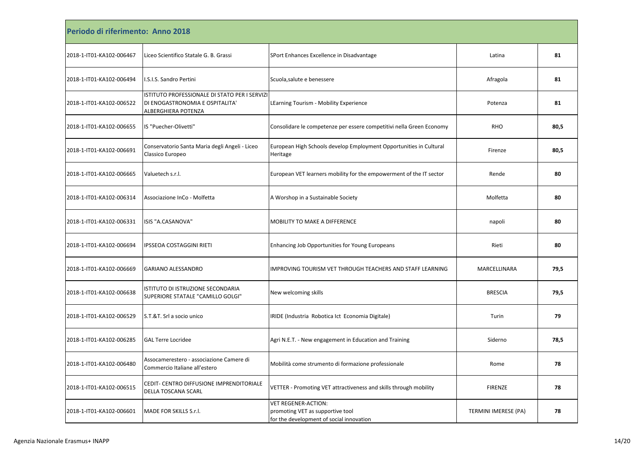| Periodo di riferimento: Anno 2018 |                                                                                                         |                                                                                                            |                      |      |  |
|-----------------------------------|---------------------------------------------------------------------------------------------------------|------------------------------------------------------------------------------------------------------------|----------------------|------|--|
| 2018-1-IT01-KA102-006467          | Liceo Scientifico Statale G. B. Grassi                                                                  | SPort Enhances Excellence in Disadvantage                                                                  | Latina               | 81   |  |
| 2018-1-IT01-KA102-006494          | I.S.I.S. Sandro Pertini                                                                                 | Scuola, salute e benessere                                                                                 | Afragola             | 81   |  |
| 2018-1-IT01-KA102-006522          | ISTITUTO PROFESSIONALE DI STATO PER I SERVIZI<br>DI ENOGASTRONOMIA E OSPITALITA'<br>ALBERGHIERA POTENZA | LEarning Tourism - Mobility Experience                                                                     | Potenza              | 81   |  |
| 2018-1-IT01-KA102-006655          | IS "Puecher-Olivetti"                                                                                   | Consolidare le competenze per essere competitivi nella Green Economy                                       | RHO                  | 80,5 |  |
| 2018-1-IT01-KA102-006691          | Conservatorio Santa Maria degli Angeli - Liceo<br>Classico Europeo                                      | European High Schools develop Employment Opportunities in Cultural<br>Heritage                             | Firenze              | 80,5 |  |
| 2018-1-IT01-KA102-006665          | Valuetech s.r.l.                                                                                        | European VET learners mobility for the empowerment of the IT sector                                        | Rende                | 80   |  |
| 2018-1-IT01-KA102-006314          | Associazione InCo - Molfetta                                                                            | A Worshop in a Sustainable Society                                                                         | Molfetta             | 80   |  |
| 2018-1-IT01-KA102-006331          | ISIS "A.CASANOVA"                                                                                       | MOBILITY TO MAKE A DIFFERENCE                                                                              | napoli               | 80   |  |
| 2018-1-IT01-KA102-006694          | <b>IPSSEOA COSTAGGINI RIETI</b>                                                                         | Enhancing Job Opportunities for Young Europeans                                                            | Rieti                | 80   |  |
| 2018-1-IT01-KA102-006669          | <b>GARIANO ALESSANDRO</b>                                                                               | IMPROVING TOURISM VET THROUGH TEACHERS AND STAFF LEARNING                                                  | MARCELLINARA         | 79,5 |  |
| 2018-1-IT01-KA102-006638          | ISTITUTO DI ISTRUZIONE SECONDARIA<br>SUPERIORE STATALE "CAMILLO GOLGI"                                  | New welcoming skills                                                                                       | <b>BRESCIA</b>       | 79,5 |  |
| 2018-1-IT01-KA102-006529          | S.T.&T. Srl a socio unico                                                                               | IRIDE (Industria Robotica Ict Economia Digitale)                                                           | Turin                | 79   |  |
| 2018-1-IT01-KA102-006285          | <b>GAL Terre Locridee</b>                                                                               | Agri N.E.T. - New engagement in Education and Training                                                     | Siderno              | 78,5 |  |
| 2018-1-IT01-KA102-006480          | Assocamerestero - associazione Camere di<br>Commercio Italiane all'estero                               | Mobilità come strumento di formazione professionale                                                        | Rome                 | 78   |  |
| 2018-1-IT01-KA102-006515          | CEDIT- CENTRO DIFFUSIONE IMPRENDITORIALE<br><b>DELLA TOSCANA SCARL</b>                                  | VETTER - Promoting VET attractiveness and skills through mobility                                          | <b>FIRENZE</b>       | 78   |  |
| 2018-1-IT01-KA102-006601          | MADE FOR SKILLS S.r.l.                                                                                  | <b>VET REGENER-ACTION:</b><br>promoting VET as supportive tool<br>for the development of social innovation | TERMINI IMERESE (PA) | 78   |  |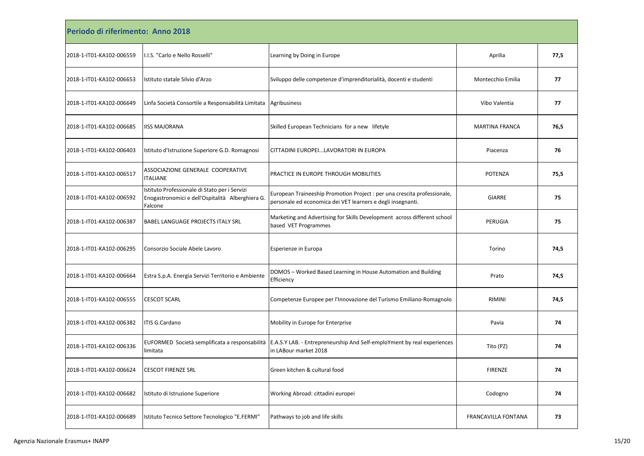| Periodo di riferimento: Anno 2018 |                                                                                                              |                                                                                                                                                  |                       |      |  |
|-----------------------------------|--------------------------------------------------------------------------------------------------------------|--------------------------------------------------------------------------------------------------------------------------------------------------|-----------------------|------|--|
| 2018-1-IT01-KA102-006559          | I.I.S. "Carlo e Nello Rosselli"                                                                              | Learning by Doing in Europe                                                                                                                      | Aprilia               | 77,5 |  |
| 2018-1-IT01-KA102-006653          | Istituto statale Silvio d'Arzo                                                                               | Sviluppo delle competenze d'imprenditorialità, docenti e studenti                                                                                | Montecchio Emilia     | 77   |  |
| 2018-1-IT01-KA102-006649          | Linfa Società Consortile a Responsabilità Limitata                                                           | Agribusiness                                                                                                                                     | Vibo Valentia         | 77   |  |
| 2018-1-IT01-KA102-006685          | <b>IISS MAJORANA</b>                                                                                         | Skilled European Technicians for a new lifetyle                                                                                                  | <b>MARTINA FRANCA</b> | 76,5 |  |
| 2018-1-IT01-KA102-006403          | Istituto d'Istruzione Superiore G.D. Romagnosi                                                               | CITTADINI EUROPEILAVORATORI IN EUROPA                                                                                                            | Piacenza              | 76   |  |
| 2018-1-IT01-KA102-006517          | ASSOCIAZIONE GENERALE COOPERATIVE<br><b>ITALIANE</b>                                                         | PRACTICE IN EUROPE THROUGH MOBILITIES                                                                                                            | POTENZA               | 75,5 |  |
| 2018-1-IT01-KA102-006592          | Istituto Professionale di Stato per i Servizi<br>Enogastronomici e dell'Ospitalità Alberghiera G.<br>Falcone | European Traineeship Promotion Project : per una crescita professionale,<br>personale ed economica dei VET learners e degli insegnanti.          | <b>GIARRE</b>         | 75   |  |
| 2018-1-IT01-KA102-006387          | <b>BABEL LANGUAGE PROJECTS ITALY SRL</b>                                                                     | Marketing and Advertising for Skills Development across different school<br>based VET Programmes                                                 | PERUGIA               | 75   |  |
| 2018-1-IT01-KA102-006295          | Consorzio Sociale Abele Lavoro                                                                               | Esperienze in Europa                                                                                                                             | Torino                | 74,5 |  |
| 2018-1-IT01-KA102-006664          | Estra S.p.A. Energia Servizi Territorio e Ambiente                                                           | DOMOS - Worked Based Learning in House Automation and Building<br>Efficiency                                                                     | Prato                 | 74,5 |  |
| 2018-1-IT01-KA102-006555          | <b>CESCOT SCARL</b>                                                                                          | Competenze Europee per l'Innovazione del Turismo Emiliano-Romagnolo                                                                              | <b>RIMINI</b>         | 74,5 |  |
| 2018-1-IT01-KA102-006382          | ITIS G.Cardano                                                                                               | Mobility in Europe for Enterprise                                                                                                                | Pavia                 | 74   |  |
| 2018-1-IT01-KA102-006336          | limitata                                                                                                     | EUFORMED Società semplificata a responsabilità  E.A.S.Y LAB. - Entrepreneurship And Self-emploYment by real experiences<br>in LABour market 2018 | Tito (PZ)             | 74   |  |
| 2018-1-IT01-KA102-006624          | <b>CESCOT FIRENZE SRL</b>                                                                                    | Green kitchen & cultural food                                                                                                                    | <b>FIRENZE</b>        | 74   |  |
| 2018-1-IT01-KA102-006682          | Istituto di Istruzione Superiore                                                                             | Working Abroad: cittadini europei                                                                                                                | Codogno               | 74   |  |
| 2018-1-IT01-KA102-006689          | Istituto Tecnico Settore Tecnologico "E.FERMI"                                                               | Pathways to job and life skills                                                                                                                  | FRANCAVILLA FONTANA   | 73   |  |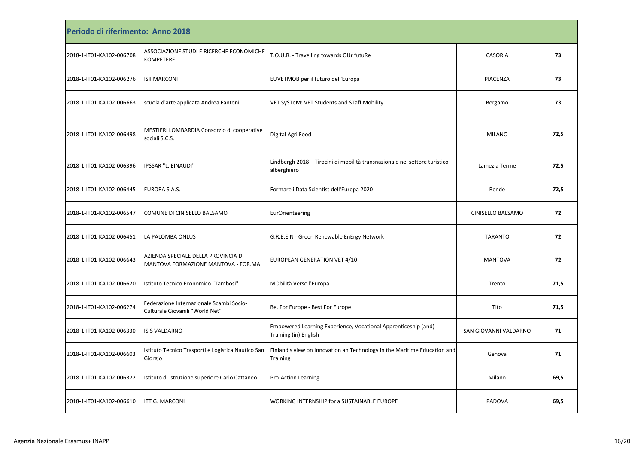| Periodo di riferimento: Anno 2018 |                                                                             |                                                                                            |                       |      |  |
|-----------------------------------|-----------------------------------------------------------------------------|--------------------------------------------------------------------------------------------|-----------------------|------|--|
| 2018-1-IT01-KA102-006708          | ASSOCIAZIONE STUDI E RICERCHE ECONOMICHE<br><b>KOMPETERE</b>                | T.O.U.R. - Travelling towards OUr futuRe                                                   | <b>CASORIA</b>        | 73   |  |
| 2018-1-IT01-KA102-006276          | <b>ISII MARCONI</b>                                                         | EUVETMOB per il futuro dell'Europa                                                         | PIACENZA              | 73   |  |
| 2018-1-IT01-KA102-006663          | scuola d'arte applicata Andrea Fantoni                                      | VET SySTeM: VET Students and STaff Mobility                                                | Bergamo               | 73   |  |
| 2018-1-IT01-KA102-006498          | MESTIERI LOMBARDIA Consorzio di cooperative<br>sociali S.C.S.               | Digital Agri Food                                                                          | <b>MILANO</b>         | 72,5 |  |
| 2018-1-IT01-KA102-006396          | IPSSAR "L. EINAUDI"                                                         | Lindbergh 2018 - Tirocini di mobilità transnazionale nel settore turistico-<br>alberghiero | Lamezia Terme         | 72,5 |  |
| 2018-1-IT01-KA102-006445          | EURORA S.A.S.                                                               | Formare i Data Scientist dell'Europa 2020                                                  | Rende                 | 72,5 |  |
| 2018-1-IT01-KA102-006547          | COMUNE DI CINISELLO BALSAMO                                                 | <b>EurOrienteering</b>                                                                     | CINISELLO BALSAMO     | 72   |  |
| 2018-1-IT01-KA102-006451          | LA PALOMBA ONLUS                                                            | G.R.E.E.N - Green Renewable EnErgy Network                                                 | <b>TARANTO</b>        | 72   |  |
| 2018-1-IT01-KA102-006643          | AZIENDA SPECIALE DELLA PROVINCIA DI<br>MANTOVA FORMAZIONE MANTOVA - FOR.MA  | EUROPEAN GENERATION VET 4/10                                                               | <b>MANTOVA</b>        | 72   |  |
| 2018-1-IT01-KA102-006620          | Istituto Tecnico Economico "Tambosi"                                        | MObilità Verso l'Europa                                                                    | Trento                | 71,5 |  |
| 2018-1-IT01-KA102-006274          | Federazione Internazionale Scambi Socio-<br>Culturale Giovanili "World Net" | Be. For Europe - Best For Europe                                                           | Tito                  | 71,5 |  |
| 2018-1-IT01-KA102-006330          | <b>ISIS VALDARNO</b>                                                        | Empowered Learning Experience, Vocational Apprenticeship (and)<br>Training (in) English    | SAN GIOVANNI VALDARNO | 71   |  |
| 2018-1-IT01-KA102-006603          | Istituto Tecnico Trasporti e Logistica Nautico San<br>Giorgio               | Finland's view on Innovation an Technology in the Maritime Education and<br>Training       | Genova                | 71   |  |
| 2018-1-IT01-KA102-006322          | Istituto di istruzione superiore Carlo Cattaneo                             | Pro-Action Learning                                                                        | Milano                | 69,5 |  |
| 2018-1-IT01-KA102-006610          | <b>ITT G. MARCONI</b>                                                       | WORKING INTERNSHIP for a SUSTAINABLE EUROPE                                                | PADOVA                | 69,5 |  |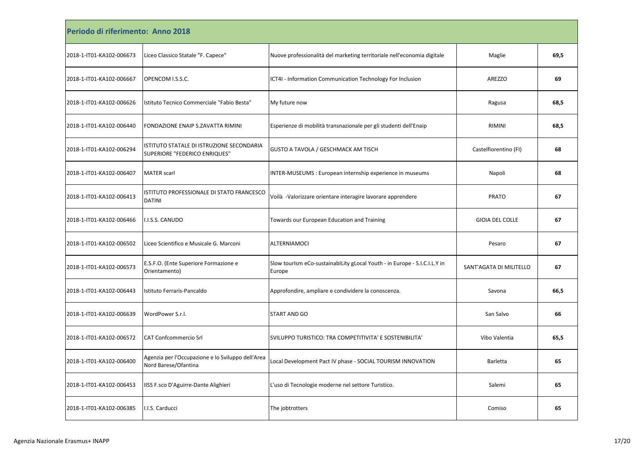| Periodo di riferimento: Anno 2018 |                                                                            |                                                                                     |                         |      |  |
|-----------------------------------|----------------------------------------------------------------------------|-------------------------------------------------------------------------------------|-------------------------|------|--|
| 2018-1-IT01-KA102-006673          | Liceo Classico Statale "F. Capece"                                         | Nuove professionalità del marketing territoriale nell'economia digitale             | Maglie                  | 69,5 |  |
| 2018-1-IT01-KA102-006667          | OPENCOM I.S.S.C.                                                           | ICT4I - Information Communication Technology For Inclusion                          | <b>AREZZO</b>           | 69   |  |
| 2018-1-IT01-KA102-006626          | Istituto Tecnico Commerciale "Fabio Besta"                                 | My future now                                                                       | Ragusa                  | 68,5 |  |
| 2018-1-IT01-KA102-006440          | FONDAZIONE ENAIP S.ZAVATTA RIMINI                                          | Esperienze di mobilità transnazionale per gli studenti dell'Enaip                   | RIMINI                  | 68,5 |  |
| 2018-1-IT01-KA102-006294          | ISTITUTO STATALE DI ISTRUZIONE SECONDARIA<br>SUPERIORE "FEDERICO ENRIQUES" | GUSTO A TAVOLA / GESCHMACK AM TISCH                                                 | Castelfiorentino (FI)   | 68   |  |
| 2018-1-IT01-KA102-006407          | <b>MATER</b> scarl                                                         | INTER-MUSEUMS: European internship experience in museums                            | Napoli                  | 68   |  |
| 2018-1-IT01-KA102-006413          | ISTITUTO PROFESSIONALE DI STATO FRANCESCO<br><b>DATINI</b>                 | Voilà -Valorizzare orientare interagire lavorare apprendere                         | <b>PRATO</b>            | 67   |  |
| 2018-1-IT01-KA102-006466          | I.I.S.S. CANUDO                                                            | Towards our European Education and Training                                         | <b>GIOIA DEL COLLE</b>  | 67   |  |
| 2018-1-IT01-KA102-006502          | Liceo Scientifico e Musicale G. Marconi                                    | ALTERNIAMOCI                                                                        | Pesaro                  | 67   |  |
| 2018-1-IT01-KA102-006573          | E.S.F.O. (Ente Superiore Formazione e<br>Orientamento)                     | Slow tourlsm eCo-sustainability glocal Youth - in Europe - S.I.C.I.L.Y in<br>Europe | SANT'AGATA DI MILITELLO | 67   |  |
| 2018-1-IT01-KA102-006443          | Istituto Ferraris-Pancaldo                                                 | Approfondire, ampliare e condividere la conoscenza.                                 | Savona                  | 66,5 |  |
| 2018-1-IT01-KA102-006639          | WordPower S.r.I.                                                           | START AND GO                                                                        | San Salvo               | 66   |  |
| 2018-1-IT01-KA102-006572          | <b>CAT Confcommercio Srl</b>                                               | SVILUPPO TURISTICO: TRA COMPETITIVITA' E SOSTENIBILITA'                             | Vibo Valentia           | 65,5 |  |
| 2018-1-IT01-KA102-006400          | Agenzia per l'Occupazione e lo Sviluppo dell'Area<br>Nord Barese/Ofantina  | Local Development Pact IV phase - SOCIAL TOURISM INNOVATION                         | Barletta                | 65   |  |
| 2018-1-IT01-KA102-006453          | IISS F.sco D'Aguirre-Dante Alighieri                                       | L'uso di Tecnologie moderne nel settore Turistico.                                  | Salemi                  | 65   |  |
| 2018-1-IT01-KA102-006385          | I.I.S. Carducci                                                            | The jobtrotters                                                                     | Comiso                  | 65   |  |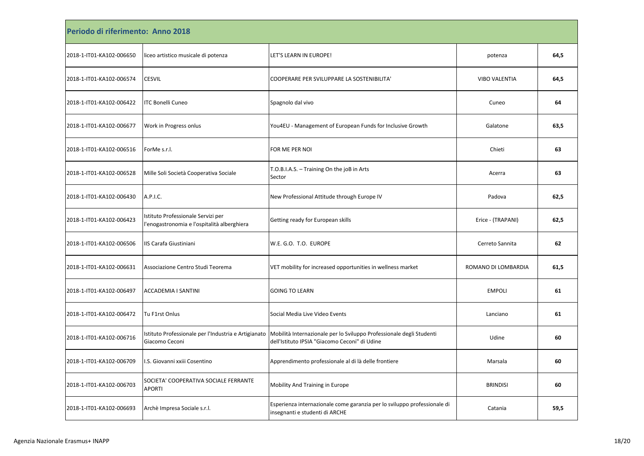| Periodo di riferimento: Anno 2018 |                                                                                   |                                                                                                                       |                      |      |  |
|-----------------------------------|-----------------------------------------------------------------------------------|-----------------------------------------------------------------------------------------------------------------------|----------------------|------|--|
| 2018-1-IT01-KA102-006650          | liceo artistico musicale di potenza                                               | LET'S LEARN IN EUROPE!                                                                                                | potenza              | 64,5 |  |
| 2018-1-IT01-KA102-006574          | <b>CESVIL</b>                                                                     | COOPERARE PER SVILUPPARE LA SOSTENIBILITA'                                                                            | <b>VIBO VALENTIA</b> | 64,5 |  |
| 2018-1-IT01-KA102-006422          | <b>ITC Bonelli Cuneo</b>                                                          | Spagnolo dal vivo                                                                                                     | Cuneo                | 64   |  |
| 2018-1-IT01-KA102-006677          | Work in Progress onlus                                                            | You4EU - Management of European Funds for Inclusive Growth                                                            | Galatone             | 63,5 |  |
| 2018-1-IT01-KA102-006516          | ForMe s.r.l.                                                                      | FOR ME PER NOI                                                                                                        | Chieti               | 63   |  |
| 2018-1-IT01-KA102-006528          | Mille Soli Società Cooperativa Sociale                                            | T.O.B.I.A.S. - Training On the joB in Arts<br>Sector                                                                  | Acerra               | 63   |  |
| 2018-1-IT01-KA102-006430          | A.P.I.C.                                                                          | New Professional Attitude through Europe IV                                                                           | Padova               | 62,5 |  |
| 2018-1-IT01-KA102-006423          | Istituto Professionale Servizi per<br>l'enogastronomia e l'ospitalità alberghiera | Getting ready for European skills                                                                                     | Erice - (TRAPANI)    | 62,5 |  |
| 2018-1-IT01-KA102-006506          | IIS Carafa Giustiniani                                                            | W.E. G.O. T.O. EUROPE                                                                                                 | Cerreto Sannita      | 62   |  |
| 2018-1-IT01-KA102-006631          | Associazione Centro Studi Teorema                                                 | VET mobility for increased opportunities in wellness market                                                           | ROMANO DI LOMBARDIA  | 61,5 |  |
| 2018-1-IT01-KA102-006497          | ACCADEMIA I SANTINI                                                               | <b>GOING TO LEARN</b>                                                                                                 | <b>EMPOLI</b>        | 61   |  |
| 2018-1-IT01-KA102-006472          | Tu F1rst Onlus                                                                    | Social Media Live Video Events                                                                                        | Lanciano             | 61   |  |
| 2018-1-IT01-KA102-006716          | Istituto Professionale per l'Industria e Artigianato<br>Giacomo Ceconi            | Mobilità Internazionale per lo Sviluppo Professionale degli Studenti<br>dell'Istituto IPSIA "Giacomo Ceconi" di Udine | Udine                | 60   |  |
| 2018-1-IT01-KA102-006709          | I.S. Giovanni xxiii Cosentino                                                     | Apprendimento professionale al di là delle frontiere                                                                  | Marsala              | 60   |  |
| 2018-1-IT01-KA102-006703          | SOCIETA' COOPERATIVA SOCIALE FERRANTE<br>APORTI                                   | Mobility And Training in Europe                                                                                       | <b>BRINDISI</b>      | 60   |  |
| 2018-1-IT01-KA102-006693          | Archè Impresa Sociale s.r.l.                                                      | Esperienza internazionale come garanzia per lo sviluppo professionale di<br>insegnanti e studenti di ARCHE            | Catania              | 59,5 |  |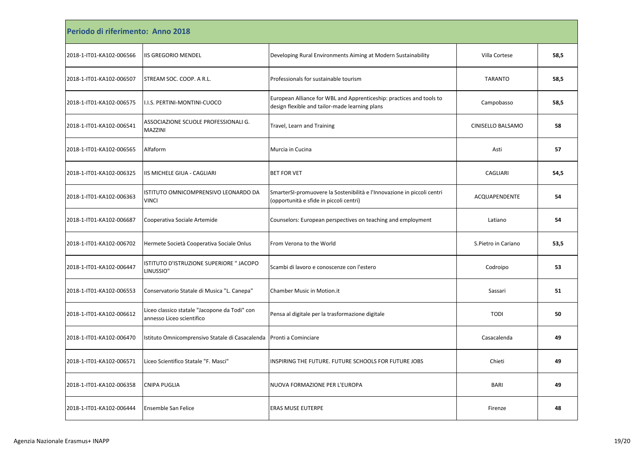| Periodo di riferimento: Anno 2018 |                                                                            |                                                                                                                        |                     |      |  |
|-----------------------------------|----------------------------------------------------------------------------|------------------------------------------------------------------------------------------------------------------------|---------------------|------|--|
| 2018-1-IT01-KA102-006566          | <b>IIS GREGORIO MENDEL</b>                                                 | Developing Rural Environments Aiming at Modern Sustainability                                                          | Villa Cortese       | 58,5 |  |
| 2018-1-IT01-KA102-006507          | STREAM SOC. COOP. A R.L.                                                   | Professionals for sustainable tourism                                                                                  | TARANTO             | 58,5 |  |
| 2018-1-IT01-KA102-006575          | I.I.S. PERTINI-MONTINI-CUOCO                                               | European Alliance for WBL and Apprenticeship: practices and tools to<br>design flexible and tailor-made learning plans | Campobasso          | 58,5 |  |
| 2018-1-IT01-KA102-006541          | ASSOCIAZIONE SCUOLE PROFESSIONALI G.<br><b>MAZZINI</b>                     | Travel, Learn and Training                                                                                             | CINISELLO BALSAMO   | 58   |  |
| 2018-1-IT01-KA102-006565          | Alfaform                                                                   | Murcia in Cucina                                                                                                       | Asti                | 57   |  |
| 2018-1-IT01-KA102-006325          | IIS MICHELE GIUA - CAGLIARI                                                | <b>BET FOR VET</b>                                                                                                     | CAGLIARI            | 54,5 |  |
| 2018-1-IT01-KA102-006363          | ISTITUTO OMNICOMPRENSIVO LEONARDO DA<br><b>VINCI</b>                       | SmarterSI-promuovere la Sostenibilità e l'Innovazione in piccoli centri<br>(opportunità e sfide in piccoli centri)     | ACQUAPENDENTE       | 54   |  |
| 2018-1-IT01-KA102-006687          | Cooperativa Sociale Artemide                                               | Counselors: European perspectives on teaching and employment                                                           | Latiano             | 54   |  |
| 2018-1-IT01-KA102-006702          | Hermete Società Cooperativa Sociale Onlus                                  | From Verona to the World                                                                                               | S.Pietro in Cariano | 53,5 |  |
| 2018-1-IT01-KA102-006447          | ISTITUTO D'ISTRUZIONE SUPERIORE " JACOPO<br>LINUSSIO"                      | Scambi di lavoro e conoscenze con l'estero                                                                             | Codroipo            | 53   |  |
| 2018-1-IT01-KA102-006553          | Conservatorio Statale di Musica "L. Canepa"                                | <b>Chamber Music in Motion.it</b>                                                                                      | Sassari             | 51   |  |
| 2018-1-IT01-KA102-006612          | Liceo classico statale "Jacopone da Todi" con<br>annesso Liceo scientifico | Pensa al digitale per la trasformazione digitale                                                                       | <b>TODI</b>         | 50   |  |
| 2018-1-IT01-KA102-006470          | Istituto Omnicomprensivo Statale di Casacalenda                            | Pronti a Cominciare                                                                                                    | Casacalenda         | 49   |  |
| 2018-1-IT01-KA102-006571          | Liceo Scientifico Statale "F. Masci"                                       | INSPIRING THE FUTURE. FUTURE SCHOOLS FOR FUTURE JOBS                                                                   | Chieti              | 49   |  |
| 2018-1-IT01-KA102-006358          | <b>CNIPA PUGLIA</b>                                                        | NUOVA FORMAZIONE PER L'EUROPA                                                                                          | <b>BARI</b>         | 49   |  |
| 2018-1-IT01-KA102-006444          | <b>Ensemble San Felice</b>                                                 | <b>ERAS MUSE EUTERPE</b>                                                                                               | Firenze             | 48   |  |